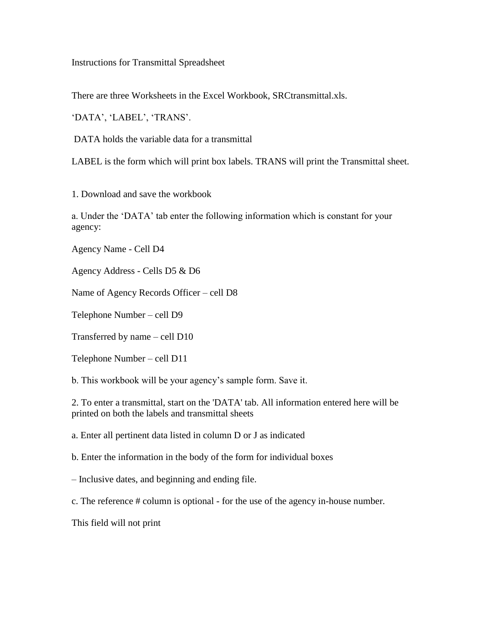Instructions for Transmittal Spreadsheet

There are three Worksheets in the Excel Workbook, SRCtransmittal.xls.

'DATA', 'LABEL', 'TRANS'.

DATA holds the variable data for a transmittal

LABEL is the form which will print box labels. TRANS will print the Transmittal sheet.

1. Download and save the workbook

a. Under the 'DATA' tab enter the following information which is constant for your agency:

Agency Name - Cell D4

Agency Address - Cells D5 & D6

Name of Agency Records Officer – cell D8

Telephone Number – cell D9

Transferred by name – cell D10

Telephone Number – cell D11

b. This workbook will be your agency's sample form. Save it.

2. To enter a transmittal, start on the 'DATA' tab. All information entered here will be printed on both the labels and transmittal sheets

a. Enter all pertinent data listed in column D or J as indicated

b. Enter the information in the body of the form for individual boxes

– Inclusive dates, and beginning and ending file.

c. The reference # column is optional - for the use of the agency in-house number.

This field will not print